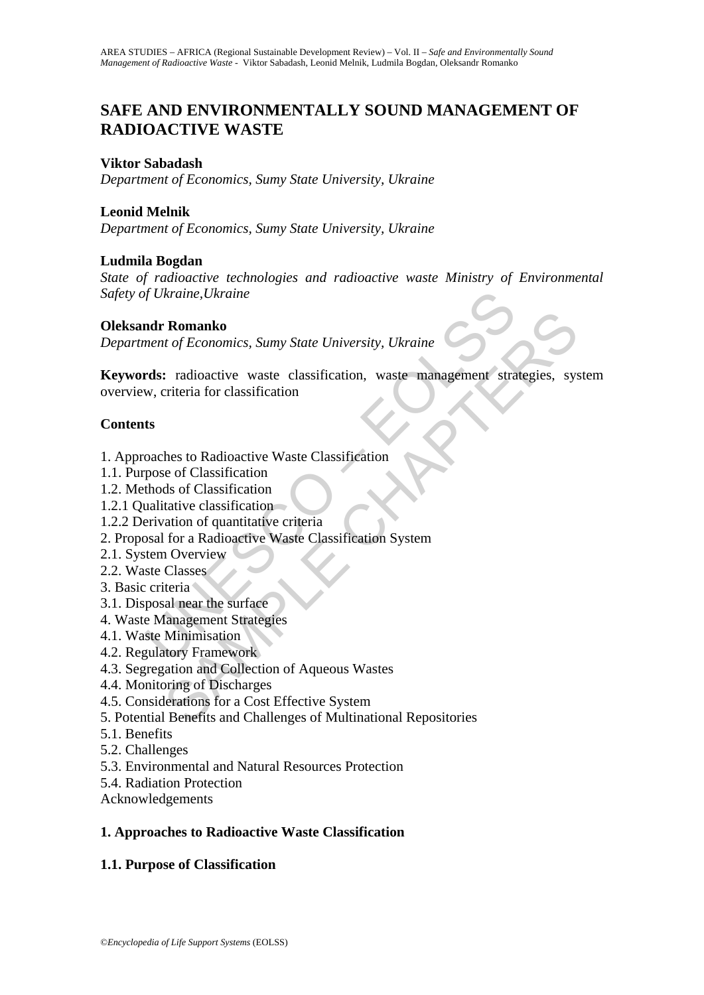# **SAFE AND ENVIRONMENTALLY SOUND MANAGEMENT OF RADIOACTIVE WASTE**

### **Viktor Sabadash**

*Department of Economics, Sumy State University, Ukraine* 

### **Leonid Melnik**

*Department of Economics, Sumy State University, Ukraine* 

#### **Ludmila Bogdan**

*State of radioactive technologies and radioactive waste Ministry of Environmental Safety of Ukraine,Ukraine* 

#### **Oleksandr Romanko**

*Department of Economics, Sumy State University, Ukraine* 

of Ukraine, Ukraine<br> **ndr Romanko**<br>
ment of Economics, Sumy State University, Ukraine<br> **rds:** radioactive waste classification, waste management stra<br>
w, criteria for classification<br>
ts<br>
soaches to Radioactive Waste Classi **Romanko**<br> *t of Economics, Sumy State University, Ukraine*<br>
2: radioactive waste classification, waste management strategies, system<br>
riteria for classification<br>
and or Classification<br>
and of Classification<br>
and of classi **Keywords:** radioactive waste classification, waste management strategies, system overview, criteria for classification

### **Contents**

- 1. Approaches to Radioactive Waste Classification
- 1.1. Purpose of Classification
- 1.2. Methods of Classification
- 1.2.1 Qualitative classification
- 1.2.2 Derivation of quantitative criteria
- 2. Proposal for a Radioactive Waste Classification System
- 2.1. System Overview
- 2.2. Waste Classes
- 3. Basic criteria
- 3.1. Disposal near the surface
- 4. Waste Management Strategies
- 4.1. Waste Minimisation
- 4.2. Regulatory Framework
- 4.3. Segregation and Collection of Aqueous Wastes
- 4.4. Monitoring of Discharges
- 4.5. Considerations for a Cost Effective System
- 5. Potential Benefits and Challenges of Multinational Repositories
- 5.1. Benefits
- 5.2. Challenges
- 5.3. Environmental and Natural Resources Protection
- 5.4. Radiation Protection
- Acknowledgements

# **1. Approaches to Radioactive Waste Classification**

# **1.1. Purpose of Classification**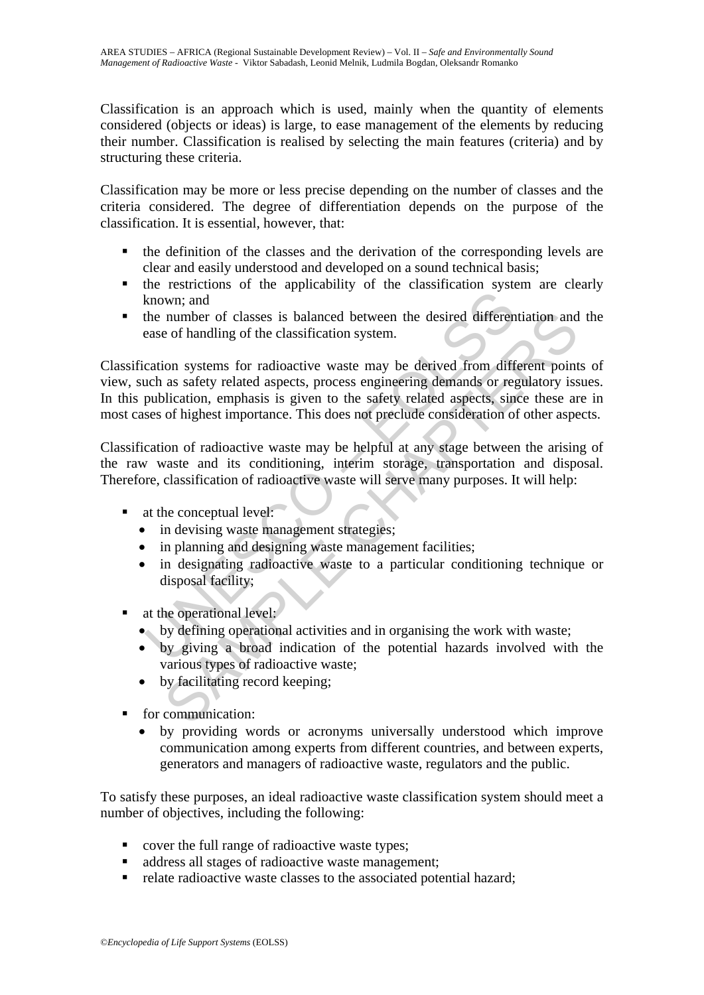Classification is an approach which is used, mainly when the quantity of elements considered (objects or ideas) is large, to ease management of the elements by reducing their number. Classification is realised by selecting the main features (criteria) and by structuring these criteria.

Classification may be more or less precise depending on the number of classes and the criteria considered. The degree of differentiation depends on the purpose of the classification. It is essential, however, that:

- $\blacksquare$  the definition of the classes and the derivation of the corresponding levels are clear and easily understood and developed on a sound technical basis;
- the restrictions of the applicability of the classification system are clearly known; and
- the number of classes is balanced between the desired differentiation and the ease of handling of the classification system.

Known; and<br>the number of classes is balanced between the desired differen<br>aase of handling of the classification system.<br>cation systems for radioactive waste may be derived from differen<br>action systems for radioactive wast number of classes is balanced between the desired differentiation and<br>of of handling of the classification system.<br>ion systems for radioactive waste may be derived from different point<br>as safety related aspects, process en Classification systems for radioactive waste may be derived from different points of view, such as safety related aspects, process engineering demands or regulatory issues. In this publication, emphasis is given to the safety related aspects, since these are in most cases of highest importance. This does not preclude consideration of other aspects.

Classification of radioactive waste may be helpful at any stage between the arising of the raw waste and its conditioning, interim storage, transportation and disposal. Therefore, classification of radioactive waste will serve many purposes. It will help:

- at the conceptual level:
	- in devising waste management strategies;
	- in planning and designing waste management facilities;
	- in designating radioactive waste to a particular conditioning technique or disposal facility;
- **at the operational level:** 
	- by defining operational activities and in organising the work with waste;
	- by giving a broad indication of the potential hazards involved with the various types of radioactive waste;
	- by facilitating record keeping;
- for communication:
	- by providing words or acronyms universally understood which improve communication among experts from different countries, and between experts, generators and managers of radioactive waste, regulators and the public.

To satisfy these purposes, an ideal radioactive waste classification system should meet a number of objectives, including the following:

- cover the full range of radioactive waste types;
- address all stages of radioactive waste management;
- relate radioactive waste classes to the associated potential hazard;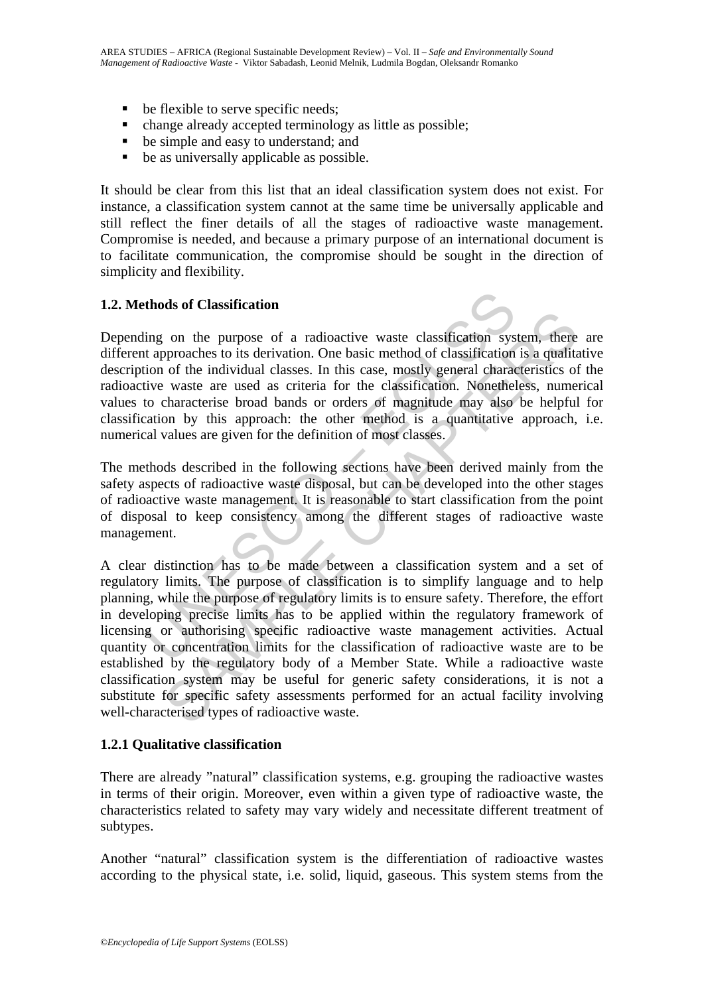- be flexible to serve specific needs;
- change already accepted terminology as little as possible;
- be simple and easy to understand; and
- be as universally applicable as possible.

It should be clear from this list that an ideal classification system does not exist. For instance, a classification system cannot at the same time be universally applicable and still reflect the finer details of all the stages of radioactive waste management. Compromise is needed, and because a primary purpose of an international document is to facilitate communication, the compromise should be sought in the direction of simplicity and flexibility.

# **1.2. Methods of Classification**

thods of Classification<br>thods of Classification<br>ing on the purpose of a radioactive waste classification sys<br>t approaches to its derivation. One basic method of classification<br>ividual condition of the individual classes. I Depending on the purpose of a radioactive waste classification system, there are different approaches to its derivation. One basic method of classification is a qualitative description of the individual classes. In this case, mostly general characteristics of the radioactive waste are used as criteria for the classification. Nonetheless, numerical values to characterise broad bands or orders of magnitude may also be helpful for classification by this approach: the other method is a quantitative approach, i.e. numerical values are given for the definition of most classes.

The methods described in the following sections have been derived mainly from the safety aspects of radioactive waste disposal, but can be developed into the other stages of radioactive waste management. It is reasonable to start classification from the point of disposal to keep consistency among the different stages of radioactive waste management.

on the purpose of a radioactive waste classification system, there or the purpose of a radioactive waste classification is a qualitary of the individual classes. In this case, mostly general characteristics of waste are us A clear distinction has to be made between a classification system and a set of regulatory limits. The purpose of classification is to simplify language and to help planning, while the purpose of regulatory limits is to ensure safety. Therefore, the effort in developing precise limits has to be applied within the regulatory framework of licensing or authorising specific radioactive waste management activities. Actual quantity or concentration limits for the classification of radioactive waste are to be established by the regulatory body of a Member State. While a radioactive waste classification system may be useful for generic safety considerations, it is not a substitute for specific safety assessments performed for an actual facility involving well-characterised types of radioactive waste.

# **1.2.1 Qualitative classification**

There are already "natural" classification systems, e.g. grouping the radioactive wastes in terms of their origin. Moreover, even within a given type of radioactive waste, the characteristics related to safety may vary widely and necessitate different treatment of subtypes.

Another "natural" classification system is the differentiation of radioactive wastes according to the physical state, i.e. solid, liquid, gaseous. This system stems from the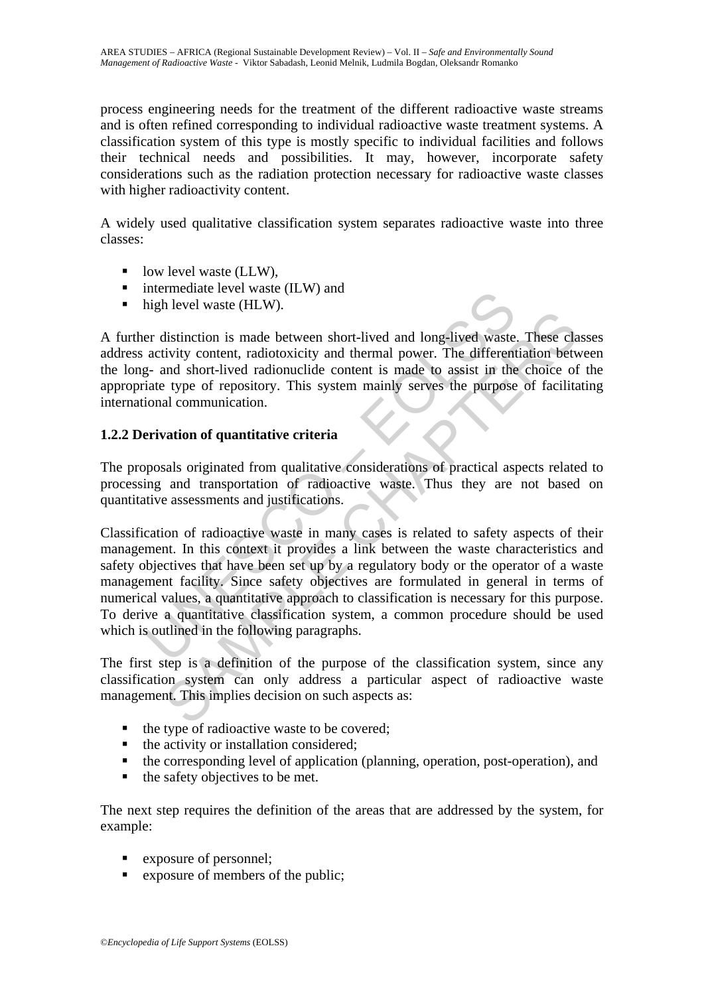process engineering needs for the treatment of the different radioactive waste streams and is often refined corresponding to individual radioactive waste treatment systems. A classification system of this type is mostly specific to individual facilities and follows their technical needs and possibilities. It may, however, incorporate safety considerations such as the radiation protection necessary for radioactive waste classes with higher radioactivity content.

A widely used qualitative classification system separates radioactive waste into three classes:

- $\blacksquare$  low level waste (LLW),
- $\blacksquare$  intermediate level waste (ILW) and
- high level waste (HLW).

A further distinction is made between short-lived and long-lived waste. These classes address activity content, radiotoxicity and thermal power. The differentiation between the long- and short-lived radionuclide content is made to assist in the choice of the appropriate type of repository. This system mainly serves the purpose of facilitating international communication.

# **1.2.2 Derivation of quantitative criteria**

The proposals originated from qualitative considerations of practical aspects related to processing and transportation of radioactive waste. Thus they are not based on quantitative assessments and justifications.

memberiary and the between short-lived and long-lived wastee activity content, radiotoxicity and thermal power. The different activity content, radiotoxicity and thermal power. The different activity content, radiotoxicity Transferences that the between short-lived and long-lived waste. These class<br>inity content, radiotoxicity and thermal power. The differentiation between<br>time short-lived radionuclide content is made to assist in the choice Classification of radioactive waste in many cases is related to safety aspects of their management. In this context it provides a link between the waste characteristics and safety objectives that have been set up by a regulatory body or the operator of a waste management facility. Since safety objectives are formulated in general in terms of numerical values, a quantitative approach to classification is necessary for this purpose. To derive a quantitative classification system, a common procedure should be used which is outlined in the following paragraphs.

The first step is a definition of the purpose of the classification system, since any classification system can only address a particular aspect of radioactive waste management. This implies decision on such aspects as:

- $\blacksquare$  the type of radioactive waste to be covered;
- $\blacksquare$  the activity or installation considered:
- $\blacksquare$  the corresponding level of application (planning, operation, post-operation), and
- $\blacksquare$  the safety objectives to be met.

The next step requires the definition of the areas that are addressed by the system, for example:

- exposure of personnel;
- exposure of members of the public;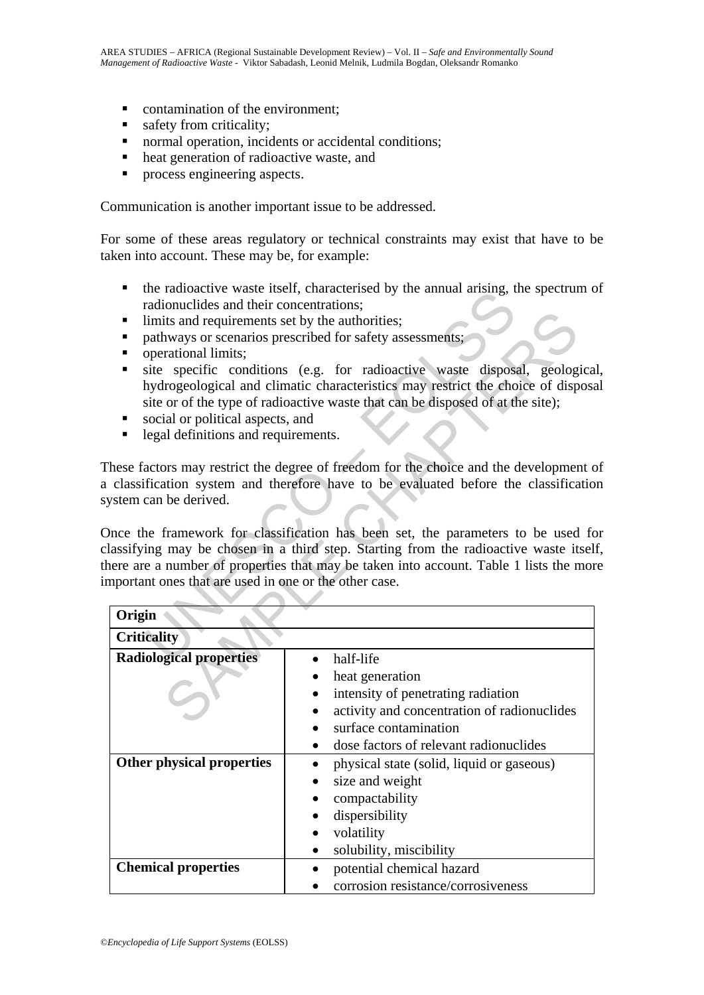- contamination of the environment;
- safety from criticality:
- normal operation, incidents or accidental conditions;
- heat generation of radioactive waste, and
- **PEDIE:** process engineering aspects.

Communication is another important issue to be addressed.

For some of these areas regulatory or technical constraints may exist that have to be taken into account. These may be, for example:

- the radioactive waste itself, characterised by the annual arising, the spectrum of radionuclides and their concentrations;
- limits and requirements set by the authorities:
- pathways or scenarios prescribed for safety assessments;
- operational limits;
- ite specific conditions (e.g. for radioactive waste disposal, geological, hydrogeological and climatic characteristics may restrict the choice of disposal site or of the type of radioactive waste that can be disposed of at the site);
- social or political aspects, and
- legal definitions and requirements.

Inter tandoactive waster used: the calculation distance and distributed was tested. Calculated in the authorities;<br>tradionuclides and their concentrations;<br>parthways or scenarios prescribed for safety assessments;<br>parthway Once the framework for classification has been set, the parameters to be used for classifying may be chosen in a third step. Starting from the radioactive waste itself, there are a number of properties that may be taken into account. Table 1 lists the more important ones that are used in one or the other case.

| limits and requirements set by the authorities;<br>٠<br>operational limits;                    | pathways or scenarios prescribed for safety assessments;                                                                                                                                                                                                           |
|------------------------------------------------------------------------------------------------|--------------------------------------------------------------------------------------------------------------------------------------------------------------------------------------------------------------------------------------------------------------------|
| $\blacksquare$<br>social or political aspects, and<br>legal definitions and requirements.<br>Ξ | site specific conditions (e.g. for radioactive waste disposal, geologica<br>hydrogeological and climatic characteristics may restrict the choice of disposa<br>site or of the type of radioactive waste that can be disposed of at the site);                      |
| ystem can be derived.                                                                          | hese factors may restrict the degree of freedom for the choice and the development of<br>classification system and therefore have to be evaluated before the classificatio                                                                                         |
| mportant ones that are used in one or the other case.                                          | Once the framework for classification has been set, the parameters to be used for<br>lassifying may be chosen in a third step. Starting from the radioactive waste itsel<br>nere are a number of properties that may be taken into account. Table 1 lists the more |
| Origin<br><b>Criticality</b>                                                                   |                                                                                                                                                                                                                                                                    |
| <b>Radiological properties</b>                                                                 | half-life                                                                                                                                                                                                                                                          |
|                                                                                                | heat generation                                                                                                                                                                                                                                                    |
|                                                                                                | intensity of penetrating radiation                                                                                                                                                                                                                                 |
|                                                                                                | activity and concentration of radionuclides                                                                                                                                                                                                                        |
|                                                                                                | surface contamination                                                                                                                                                                                                                                              |
|                                                                                                | dose factors of relevant radionuclides                                                                                                                                                                                                                             |
| Other physical properties                                                                      | physical state (solid, liquid or gaseous)<br>٠                                                                                                                                                                                                                     |
|                                                                                                | size and weight                                                                                                                                                                                                                                                    |
|                                                                                                | compactability                                                                                                                                                                                                                                                     |
|                                                                                                | dispersibility                                                                                                                                                                                                                                                     |
|                                                                                                | volatility                                                                                                                                                                                                                                                         |
|                                                                                                | solubility, miscibility                                                                                                                                                                                                                                            |
| <b>Chemical properties</b>                                                                     | potential chemical hazard                                                                                                                                                                                                                                          |
|                                                                                                | corrosion resistance/corrosiveness                                                                                                                                                                                                                                 |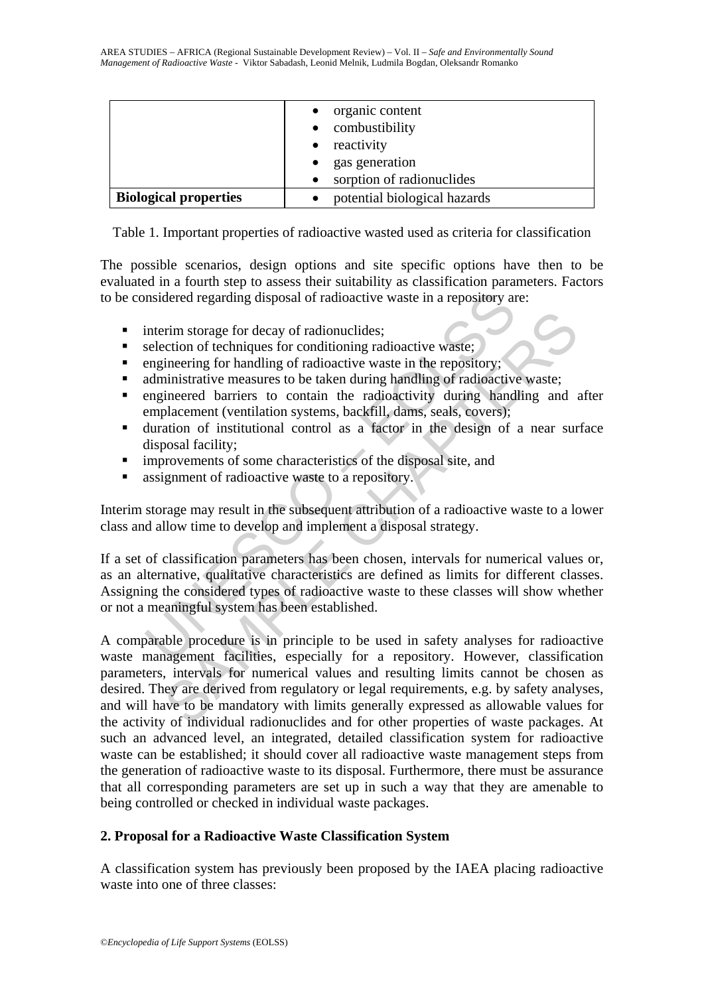|                              | • organic content<br>• combustibility<br>reactivity<br>$\bullet$<br>gas generation<br>sorption of radionuclides |
|------------------------------|-----------------------------------------------------------------------------------------------------------------|
| <b>Biological properties</b> | potential biological hazards                                                                                    |

Table 1. Important properties of radioactive wasted used as criteria for classification

The possible scenarios, design options and site specific options have then to be evaluated in a fourth step to assess their suitability as classification parameters. Factors to be considered regarding disposal of radioactive waste in a repository are:

- interim storage for decay of radionuclides;
- selection of techniques for conditioning radioactive waste;
- $\blacksquare$  engineering for handling of radioactive waste in the repository;
- administrative measures to be taken during handling of radioactive waste;
- engineered barriers to contain the radioactivity during handling and after emplacement (ventilation systems, backfill, dams, seals, covers);
- duration of institutional control as a factor in the design of a near surface disposal facility;
- **improvements of some characteristics of the disposal site, and**
- **assignment of radioactive waste to a repository.**

Interim storage may result in the subsequent attribution of a radioactive waste to a lower class and allow time to develop and implement a disposal strategy.

maidered regarding disposal of radioactive waste in a repository and<br>interim storage for decay of radionuclides;<br>selection of techniques for conditioning radioactive waste;<br>engineering for handling of radioactive waste in If a set of classification parameters has been chosen, intervals for numerical values or, as an alternative, qualitative characteristics are defined as limits for different classes. Assigning the considered types of radioactive waste to these classes will show whether or not a meaningful system has been established.

Frim storage for decay of radionuclides;<br>cetion of techniques for conditioning radioactive waste;<br>innering for handling of radioactive waste in the repository;<br>ininistrative measures to be taken during handling of radioact A comparable procedure is in principle to be used in safety analyses for radioactive waste management facilities, especially for a repository. However, classification parameters, intervals for numerical values and resulting limits cannot be chosen as desired. They are derived from regulatory or legal requirements, e.g. by safety analyses, and will have to be mandatory with limits generally expressed as allowable values for the activity of individual radionuclides and for other properties of waste packages. At such an advanced level, an integrated, detailed classification system for radioactive waste can be established; it should cover all radioactive waste management steps from the generation of radioactive waste to its disposal. Furthermore, there must be assurance that all corresponding parameters are set up in such a way that they are amenable to being controlled or checked in individual waste packages.

# **2. Proposal for a Radioactive Waste Classification System**

A classification system has previously been proposed by the IAEA placing radioactive waste into one of three classes: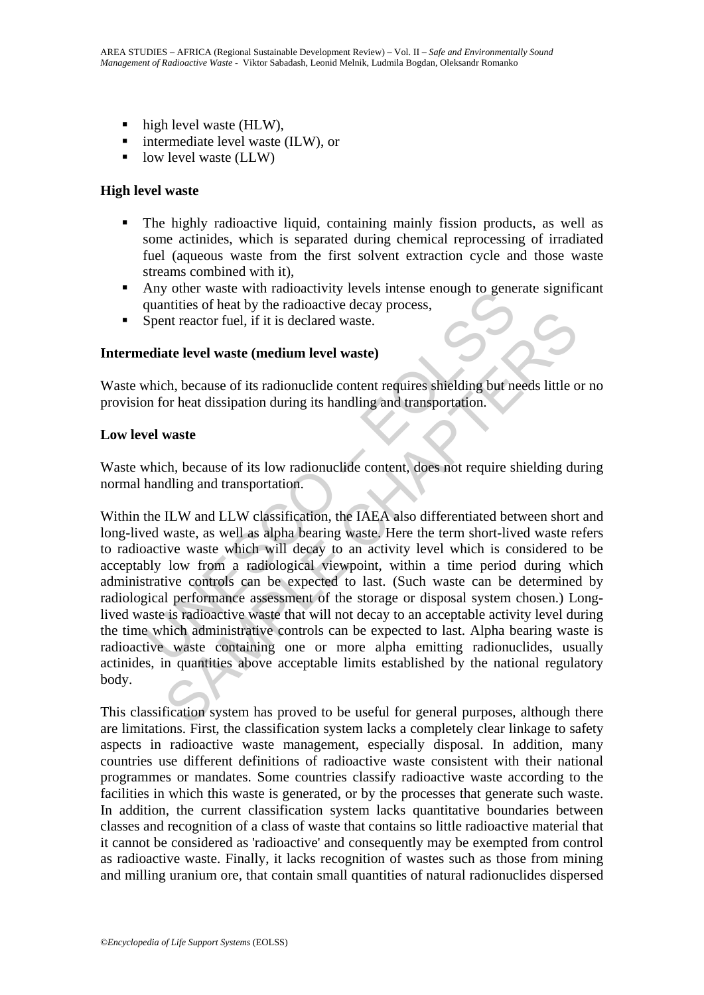- high level waste (HLW),
- $\blacksquare$  intermediate level waste (ILW), or
- $\blacksquare$  low level waste (LLW)

#### **High level waste**

- The highly radioactive liquid, containing mainly fission products, as well as some actinides, which is separated during chemical reprocessing of irradiated fuel (aqueous waste from the first solvent extraction cycle and those waste streams combined with it),
- Any other waste with radioactivity levels intense enough to generate significant quantities of heat by the radioactive decay process,
- Spent reactor fuel, if it is declared waste.

### **Intermediate level waste (medium level waste)**

Waste which, because of its radionuclide content requires shielding but needs little or no provision for heat dissipation during its handling and transportation.

#### **Low level waste**

Waste which, because of its low radionuclide content, does not require shielding during normal handling and transportation.

Any olier waste with admoatuvily levels linense enough to general equantities of heat by the radioactive decay process,<br>Spent reactor fuel, if it is declared waste.<br> **Ediate level waste (medium level waste)**<br>
which, becaus The reaction of the set of the set of the set of the method is the set of the set of the set of the set of the set of the set of the set of the set of the set of the set of the set of its low radionuclide content requires Within the ILW and LLW classification, the IAEA also differentiated between short and long-lived waste, as well as alpha bearing waste. Here the term short-lived waste refers to radioactive waste which will decay to an activity level which is considered to be acceptably low from a radiological viewpoint, within a time period during which administrative controls can be expected to last. (Such waste can be determined by radiological performance assessment of the storage or disposal system chosen.) Longlived waste is radioactive waste that will not decay to an acceptable activity level during the time which administrative controls can be expected to last. Alpha bearing waste is radioactive waste containing one or more alpha emitting radionuclides, usually actinides, in quantities above acceptable limits established by the national regulatory body.

This classification system has proved to be useful for general purposes, although there are limitations. First, the classification system lacks a completely clear linkage to safety aspects in radioactive waste management, especially disposal. In addition, many countries use different definitions of radioactive waste consistent with their national programmes or mandates. Some countries classify radioactive waste according to the facilities in which this waste is generated, or by the processes that generate such waste. In addition, the current classification system lacks quantitative boundaries between classes and recognition of a class of waste that contains so little radioactive material that it cannot be considered as 'radioactive' and consequently may be exempted from control as radioactive waste. Finally, it lacks recognition of wastes such as those from mining and milling uranium ore, that contain small quantities of natural radionuclides dispersed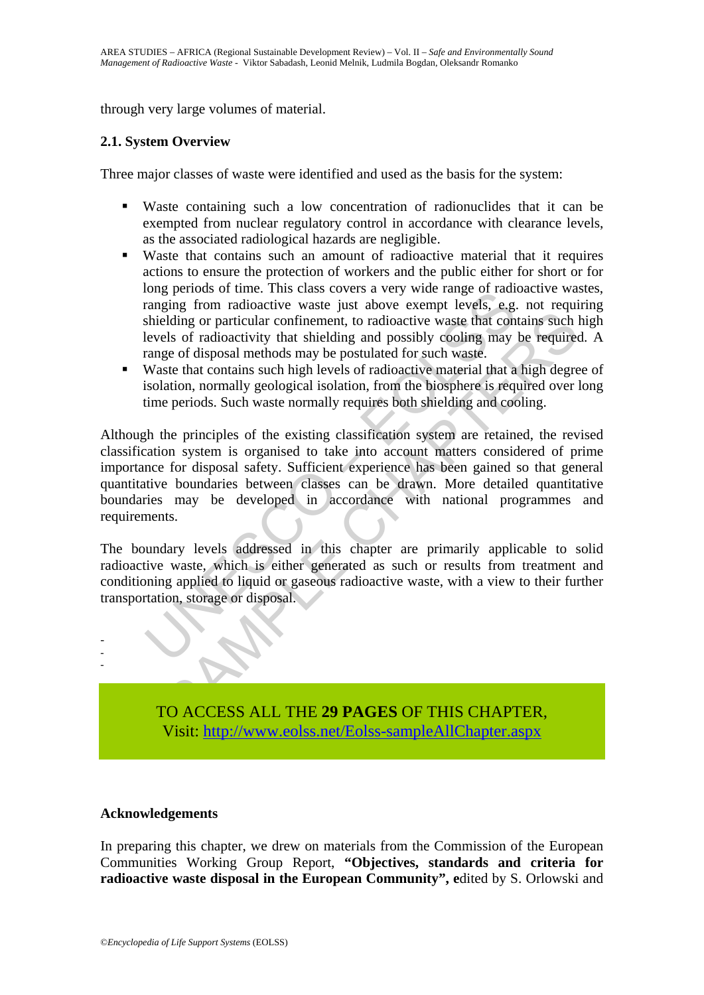through very large volumes of material.

#### **2.1. System Overview**

Three major classes of waste were identified and used as the basis for the system:

- Waste containing such a low concentration of radionuclides that it can be exempted from nuclear regulatory control in accordance with clearance levels, as the associated radiological hazards are negligible.
- Waste that contains such an amount of radioactive material that it requires actions to ensure the protection of workers and the public either for short or for long periods of time. This class covers a very wide range of radioactive wastes, ranging from radioactive waste just above exempt levels, e.g. not requiring shielding or particular confinement, to radioactive waste that contains such high levels of radioactivity that shielding and possibly cooling may be required. A range of disposal methods may be postulated for such waste.
- Waste that contains such high levels of radioactive material that a high degree of isolation, normally geological isolation, from the biosphere is required over long time periods. Such waste normally requires both shielding and cooling.

or the mandator was the serve and weather than the mandator and the mandator are applied for inter-<br>tranging from radioactive waste just above exempt levels, e.g.<br>shielding or particular confinement, to radioactive waste t Example that the induced to a state that the state of disparent and the set of radioactivity that shielding and possibly cooling may be required for state of disposal methods may be postulated for such waste. The original Although the principles of the existing classification system are retained, the revised classification system is organised to take into account matters considered of prime importance for disposal safety. Sufficient experience has been gained so that general quantitative boundaries between classes can be drawn. More detailed quantitative boundaries may be developed in accordance with national programmes and requirements.

The boundary levels addressed in this chapter are primarily applicable to solid radioactive waste, which is either generated as such or results from treatment and conditioning applied to liquid or gaseous radioactive waste, with a view to their further transportation, storage or disposal.



#### **Acknowledgements**

- - -

In preparing this chapter, we drew on materials from the Commission of the European Communities Working Group Report, **"Objectives, standards and criteria for radioactive waste disposal in the European Community", e**dited by S. Orlowski and